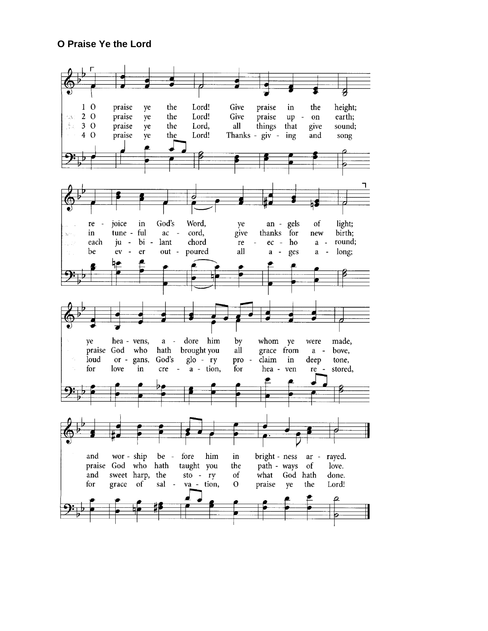## **O Praise Ye the Lord**

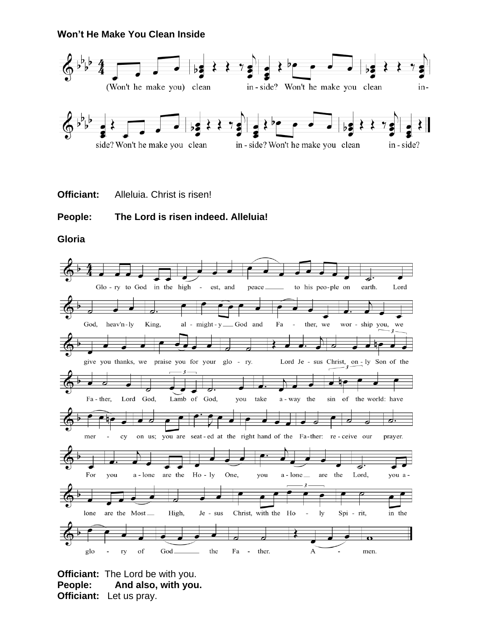#### **Won't He Make You Clean Inside**



**Officiant:** Alleluia. Christ is risen!

## **People: The Lord is risen indeed. Alleluia!**

**Gloria**



**Officiant:** The Lord be with you. **People: And also, with you. Officiant:** Let us pray.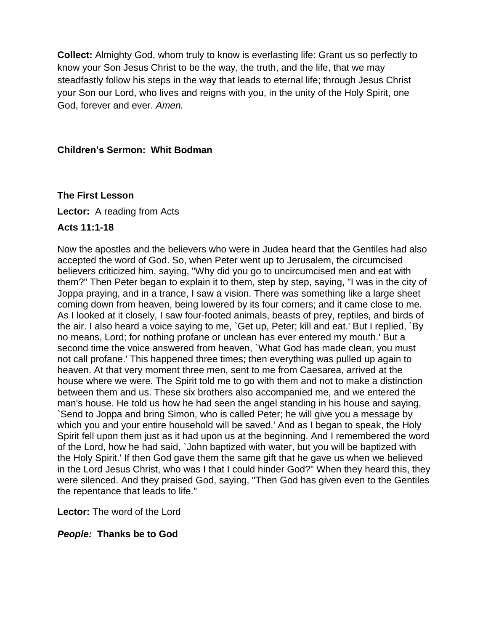**Collect:** Almighty God, whom truly to know is everlasting life: Grant us so perfectly to know your Son Jesus Christ to be the way, the truth, and the life, that we may steadfastly follow his steps in the way that leads to eternal life; through Jesus Christ your Son our Lord, who lives and reigns with you, in the unity of the Holy Spirit, one God, forever and ever. *Amen.*

#### **Children's Sermon: Whit Bodman**

#### **The First Lesson**

**Lector:** A reading from Acts

#### **Acts 11:1-18**

Now the apostles and the believers who were in Judea heard that the Gentiles had also accepted the word of God. So, when Peter went up to Jerusalem, the circumcised believers criticized him, saying, "Why did you go to uncircumcised men and eat with them?" Then Peter began to explain it to them, step by step, saying, "I was in the city of Joppa praying, and in a trance, I saw a vision. There was something like a large sheet coming down from heaven, being lowered by its four corners; and it came close to me. As I looked at it closely, I saw four-footed animals, beasts of prey, reptiles, and birds of the air. I also heard a voice saying to me, `Get up, Peter; kill and eat.' But I replied, `By no means, Lord; for nothing profane or unclean has ever entered my mouth.' But a second time the voice answered from heaven, `What God has made clean, you must not call profane.' This happened three times; then everything was pulled up again to heaven. At that very moment three men, sent to me from Caesarea, arrived at the house where we were. The Spirit told me to go with them and not to make a distinction between them and us. These six brothers also accompanied me, and we entered the man's house. He told us how he had seen the angel standing in his house and saying, `Send to Joppa and bring Simon, who is called Peter; he will give you a message by which you and your entire household will be saved.' And as I began to speak, the Holy Spirit fell upon them just as it had upon us at the beginning. And I remembered the word of the Lord, how he had said, `John baptized with water, but you will be baptized with the Holy Spirit.' If then God gave them the same gift that he gave us when we believed in the Lord Jesus Christ, who was I that I could hinder God?" When they heard this, they were silenced. And they praised God, saying, "Then God has given even to the Gentiles the repentance that leads to life."

**Lector:** The word of the Lord

#### *People:* **Thanks be to God**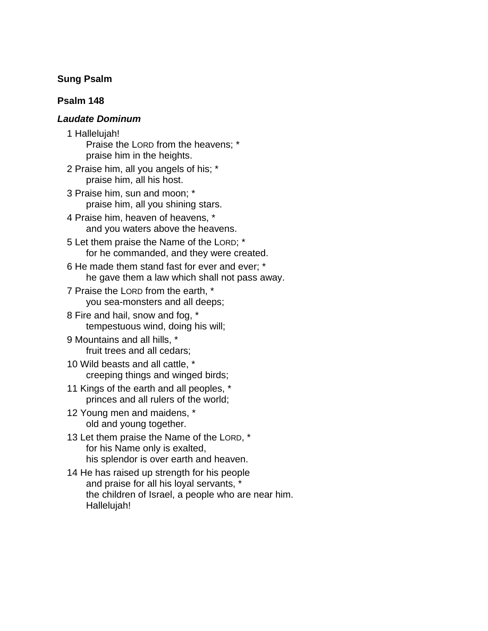#### **Sung Psalm**

## **Psalm 148**

#### *Laudate Dominum*

- 1 Hallelujah!
	- Praise the LORD from the heavens; \* praise him in the heights.
- 2 Praise him, all you angels of his; \* praise him, all his host.
- 3 Praise him, sun and moon; \* praise him, all you shining stars.
- 4 Praise him, heaven of heavens, \* and you waters above the heavens.
- 5 Let them praise the Name of the LORD; \* for he commanded, and they were created.
- 6 He made them stand fast for ever and ever; \* he gave them a law which shall not pass away.
- 7 Praise the LORD from the earth, \* you sea-monsters and all deeps;
- 8 Fire and hail, snow and fog, \* tempestuous wind, doing his will;
- 9 Mountains and all hills, \* fruit trees and all cedars;
- 10 Wild beasts and all cattle, \* creeping things and winged birds;
- 11 Kings of the earth and all peoples, \* princes and all rulers of the world;
- 12 Young men and maidens, \* old and young together.
- 13 Let them praise the Name of the LORD, \* for his Name only is exalted, his splendor is over earth and heaven.
- 14 He has raised up strength for his people and praise for all his loyal servants, \* the children of Israel, a people who are near him. Hallelujah!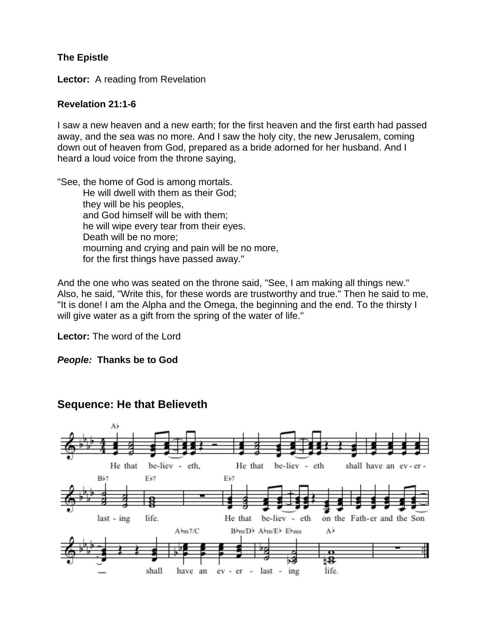## **The Epistle**

**Lector:** A reading from Revelation

#### **Revelation 21:1-6**

I saw a new heaven and a new earth; for the first heaven and the first earth had passed away, and the sea was no more. And I saw the holy city, the new Jerusalem, coming down out of heaven from God, prepared as a bride adorned for her husband. And I heard a loud voice from the throne saying,

"See, the home of God is among mortals. He will dwell with them as their God; they will be his peoples, and God himself will be with them; he will wipe every tear from their eyes. Death will be no more; mourning and crying and pain will be no more, for the first things have passed away."

And the one who was seated on the throne said, "See, I am making all things new." Also, he said, "Write this, for these words are trustworthy and true." Then he said to me, "It is done! I am the Alpha and the Omega, the beginning and the end. To the thirsty I will give water as a gift from the spring of the water of life."

**Lector:** The word of the Lord

#### *People:* **Thanks be to God**



## **Sequence: He that Believeth**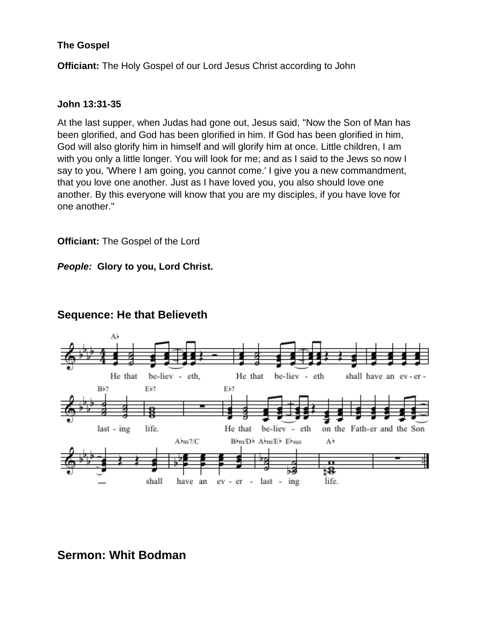## **The Gospel**

**Officiant:** The Holy Gospel of our Lord Jesus Christ according to John

#### **John 13:31-35**

At the last supper, when Judas had gone out, Jesus said, "Now the Son of Man has been glorified, and God has been glorified in him. If God has been glorified in him, God will also glorify him in himself and will glorify him at once. Little children, I am with you only a little longer. You will look for me; and as I said to the Jews so now I say to you, 'Where I am going, you cannot come.' I give you a new commandment, that you love one another. Just as I have loved you, you also should love one another. By this everyone will know that you are my disciples, if you have love for one another."

**Officiant:** The Gospel of the Lord

*People:* **Glory to you, Lord Christ.**



## **Sequence: He that Believeth**

# **Sermon: Whit Bodman**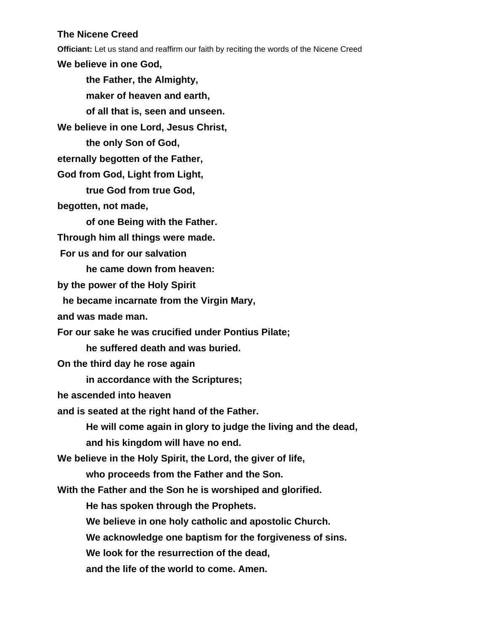#### **The Nicene Creed**

**Officiant:** Let us stand and reaffirm our faith by reciting the words of the Nicene Creed

**We believe in one God,**

**the Father, the Almighty, maker of heaven and earth, of all that is, seen and unseen. We believe in one Lord, Jesus Christ, the only Son of God, eternally begotten of the Father, God from God, Light from Light, true God from true God, begotten, not made, of one Being with the Father. Through him all things were made. For us and for our salvation he came down from heaven: by the power of the Holy Spirit he became incarnate from the Virgin Mary, and was made man. For our sake he was crucified under Pontius Pilate; he suffered death and was buried. On the third day he rose again in accordance with the Scriptures; he ascended into heaven and is seated at the right hand of the Father. He will come again in glory to judge the living and the dead, and his kingdom will have no end. We believe in the Holy Spirit, the Lord, the giver of life, who proceeds from the Father and the Son. With the Father and the Son he is worshiped and glorified. He has spoken through the Prophets. We believe in one holy catholic and apostolic Church. We acknowledge one baptism for the forgiveness of sins. We look for the resurrection of the dead, and the life of the world to come. Amen.**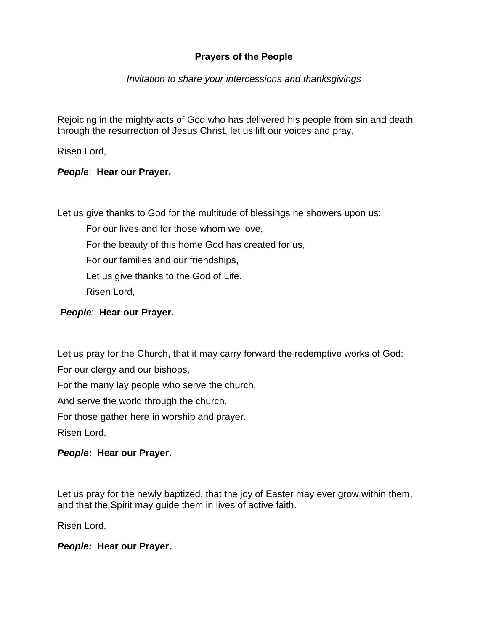## **Prayers of the People**

## *Invitation to share your intercessions and thanksgivings*

Rejoicing in the mighty acts of God who has delivered his people from sin and death through the resurrection of Jesus Christ, let us lift our voices and pray,

Risen Lord,

## *People*: **Hear our Prayer.**

Let us give thanks to God for the multitude of blessings he showers upon us:

For our lives and for those whom we love,

For the beauty of this home God has created for us,

For our families and our friendships,

Let us give thanks to the God of Life.

Risen Lord,

## *People*: **Hear our Prayer.**

Let us pray for the Church, that it may carry forward the redemptive works of God:

For our clergy and our bishops,

For the many lay people who serve the church,

And serve the world through the church.

For those gather here in worship and prayer.

Risen Lord,

## *People***: Hear our Prayer.**

Let us pray for the newly baptized, that the joy of Easter may ever grow within them, and that the Spirit may guide them in lives of active faith.

Risen Lord,

#### *People:* **Hear our Prayer.**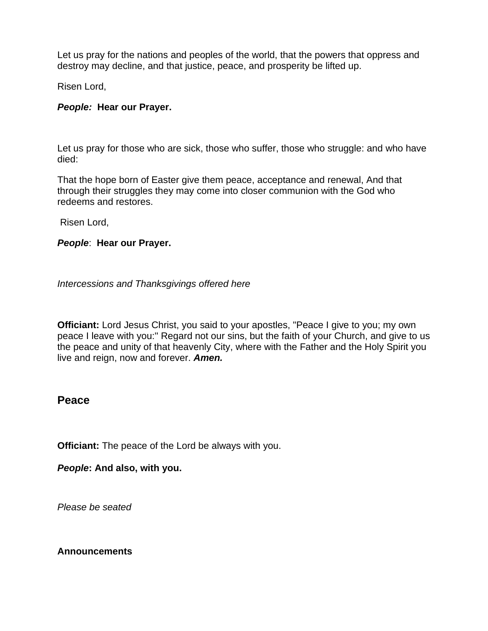Let us pray for the nations and peoples of the world, that the powers that oppress and destroy may decline, and that justice, peace, and prosperity be lifted up.

Risen Lord,

#### *People:* **Hear our Prayer.**

Let us pray for those who are sick, those who suffer, those who struggle: and who have died:

That the hope born of Easter give them peace, acceptance and renewal, And that through their struggles they may come into closer communion with the God who redeems and restores.

Risen Lord,

#### *People*: **Hear our Prayer.**

*Intercessions and Thanksgivings offered here*

**Officiant:** Lord Jesus Christ, you said to your apostles, "Peace I give to you; my own peace I leave with you:'' Regard not our sins, but the faith of your Church, and give to us the peace and unity of that heavenly City, where with the Father and the Holy Spirit you live and reign, now and forever. *Amen.*

## **Peace**

**Officiant:** The peace of the Lord be always with you.

*People***: And also, with you.**

*Please be seated*

#### **Announcements**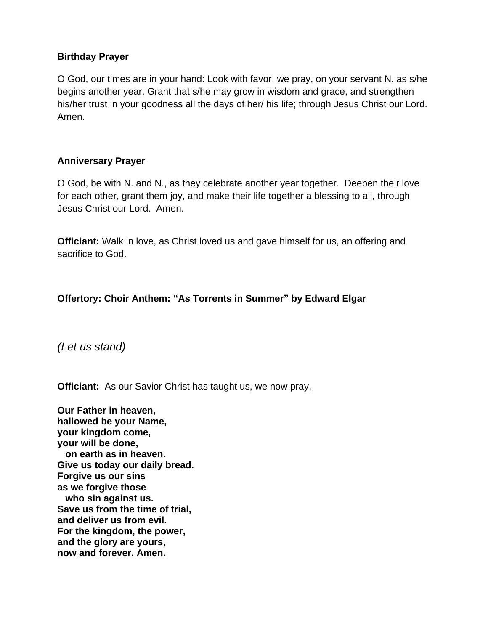## **Birthday Prayer**

O God, our times are in your hand: Look with favor, we pray, on your servant N. as s/he begins another year. Grant that s/he may grow in wisdom and grace, and strengthen his/her trust in your goodness all the days of her/ his life; through Jesus Christ our Lord. Amen.

## **Anniversary Prayer**

O God, be with N. and N., as they celebrate another year together. Deepen their love for each other, grant them joy, and make their life together a blessing to all, through Jesus Christ our Lord. Amen.

**Officiant:** Walk in love, as Christ loved us and gave himself for us, an offering and sacrifice to God.

## **Offertory: Choir Anthem: "As Torrents in Summer" by Edward Elgar**

*(Let us stand)*

**Officiant:** As our Savior Christ has taught us, we now pray,

**Our Father in heaven, hallowed be your Name, your kingdom come, your will be done, on earth as in heaven. Give us today our daily bread. Forgive us our sins as we forgive those who sin against us. Save us from the time of trial, and deliver us from evil. For the kingdom, the power, and the glory are yours, now and forever. Amen.**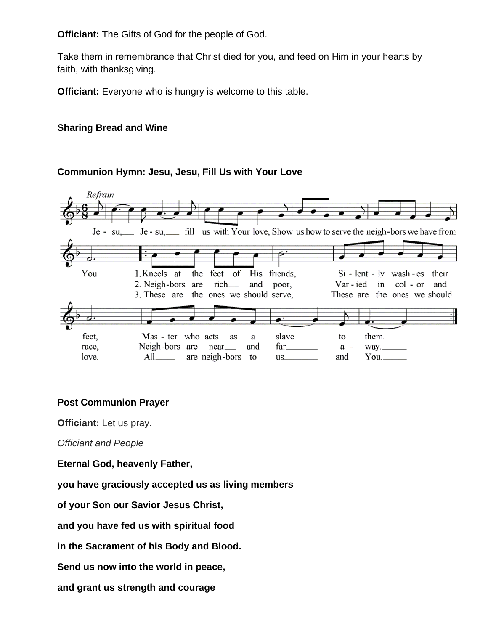**Officiant:** The Gifts of God for the people of God.

Take them in remembrance that Christ died for you, and feed on Him in your hearts by faith, with thanksgiving.

**Officiant:** Everyone who is hungry is welcome to this table.

## **Sharing Bread and Wine**

## **Communion Hymn: Jesu, Jesu, Fill Us with Your Love**



## **Post Communion Prayer**

**Officiant:** Let us pray.

*Officiant and People*

**Eternal God, heavenly Father,**

**you have graciously accepted us as living members**

**of your Son our Savior Jesus Christ,**

**and you have fed us with spiritual food**

**in the Sacrament of his Body and Blood.**

**Send us now into the world in peace,**

**and grant us strength and courage**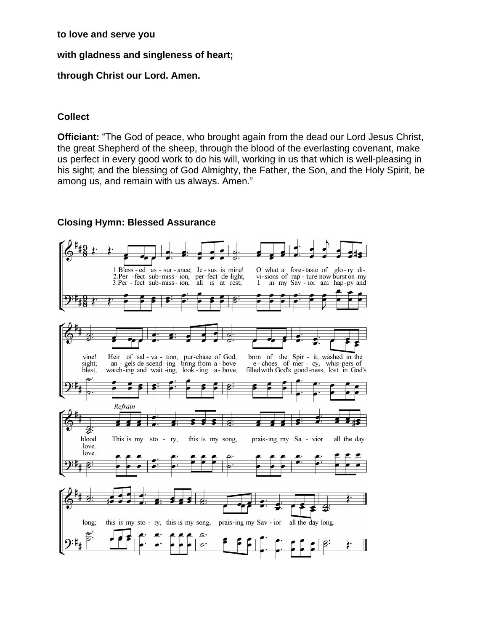#### **to love and serve you**

#### **with gladness and singleness of heart;**

#### **through Christ our Lord. Amen.**

#### **Collect**

**Officiant:** "The God of peace, who brought again from the dead our Lord Jesus Christ, the great Shepherd of the sheep, through the blood of the everlasting covenant, make us perfect in every good work to do his will, working in us that which is well-pleasing in his sight; and the blessing of God Almighty, the Father, the Son, and the Holy Spirit, be among us, and remain with us always. Amen."

#### **Closing Hymn: Blessed Assurance**